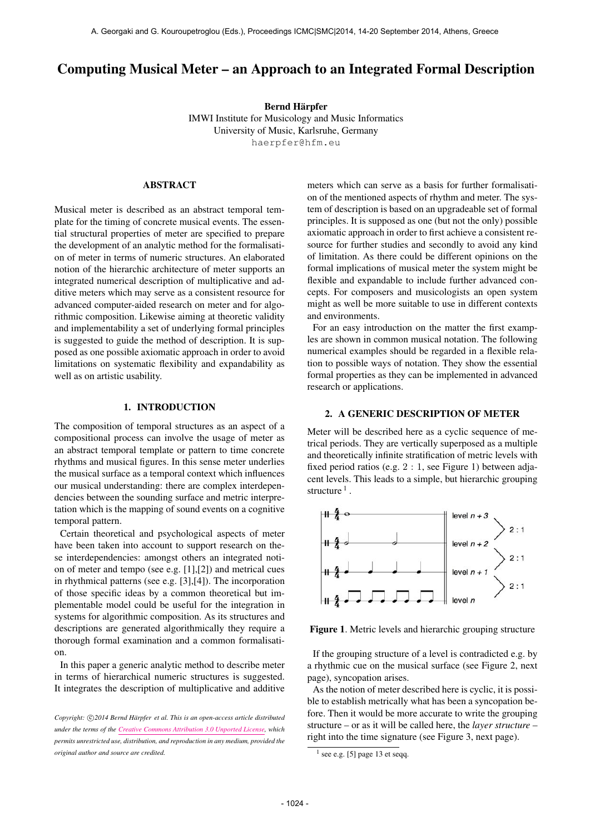# Computing Musical Meter – an Approach to an Integrated Formal Description

Bernd Härpfer IMWI Institute for Musicology and Music Informatics University of Music, Karlsruhe, Germany [haerpfer@hfm.eu](mailto:haerpfer@hfm.eu)

# ABSTRACT

Musical meter is described as an abstract temporal template for the timing of concrete musical events. The essential structural properties of meter are specified to prepare the development of an analytic method for the formalisation of meter in terms of numeric structures. An elaborated notion of the hierarchic architecture of meter supports an integrated numerical description of multiplicative and additive meters which may serve as a consistent resource for advanced computer-aided research on meter and for algorithmic composition. Likewise aiming at theoretic validity and implementability a set of underlying formal principles is suggested to guide the method of description. It is supposed as one possible axiomatic approach in order to avoid limitations on systematic flexibility and expandability as well as on artistic usability.

# 1. INTRODUCTION

The composition of temporal structures as an aspect of a compositional process can involve the usage of meter as an abstract temporal template or pattern to time concrete rhythms and musical figures. In this sense meter underlies the musical surface as a temporal context which influences our musical understanding: there are complex interdependencies between the sounding surface and metric interpretation which is the mapping of sound events on a cognitive temporal pattern.

Certain theoretical and psychological aspects of meter have been taken into account to support research on these interdependencies: amongst others an integrated notion of meter and tempo (see e.g. [1],[2]) and metrical cues in rhythmical patterns (see e.g. [3],[4]). The incorporation of those specific ideas by a common theoretical but implementable model could be useful for the integration in systems for algorithmic composition. As its structures and descriptions are generated algorithmically they require a thorough formal examination and a common formalisation.

In this paper a generic analytic method to describe meter in terms of hierarchical numeric structures is suggested. It integrates the description of multiplicative and additive meters which can serve as a basis for further formalisation of the mentioned aspects of rhythm and meter. The system of description is based on an upgradeable set of formal principles. It is supposed as one (but not the only) possible axiomatic approach in order to first achieve a consistent resource for further studies and secondly to avoid any kind of limitation. As there could be different opinions on the formal implications of musical meter the system might be flexible and expandable to include further advanced concepts. For composers and musicologists an open system might as well be more suitable to use in different contexts and environments.

For an easy introduction on the matter the first examples are shown in common musical notation. The following numerical examples should be regarded in a flexible relation to possible ways of notation. They show the essential formal properties as they can be implemented in advanced research or applications.

### 2. A GENERIC DESCRIPTION OF METER

Meter will be described here as a cyclic sequence of metrical periods. They are vertically superposed as a multiple and theoretically infinite stratification of metric levels with fixed period ratios (e.g. 2 : 1, see Figure 1) between adjacent levels. This leads to a simple, but hierarchic grouping structure  $<sup>1</sup>$ .</sup>



Figure 1. Metric levels and hierarchic grouping structure

If the grouping structure of a level is contradicted e.g. by a rhythmic cue on the musical surface (see Figure 2, next page), syncopation arises.

As the notion of meter described here is cyclic, it is possible to establish metrically what has been a syncopation before. Then it would be more accurate to write the grouping structure – or as it will be called here, the *layer structure* – right into the time signature (see Figure 3, next page).

Copyright:  $\bigcirc$ 2014 Bernd Härpfer et al. This is an open-access article distributed *under the terms of the [Creative Commons Attribution 3.0 Unported License,](http://creativecommons.org/licenses/by/3.0/) which permits unrestricted use, distribution, and reproduction in any medium, provided the original author and source are credited.*

 $<sup>1</sup>$  see e.g. [5] page 13 et seqq.</sup>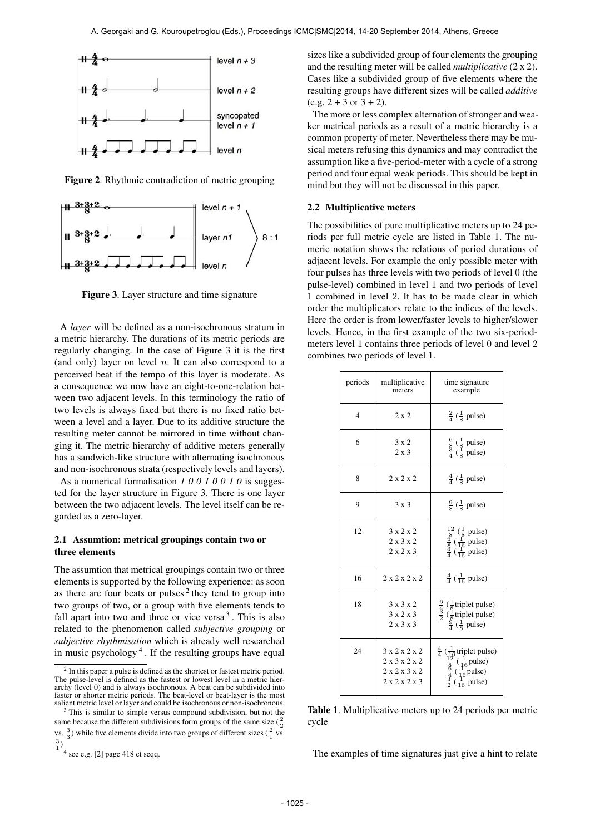

Figure 2. Rhythmic contradiction of metric grouping



Figure 3. Layer structure and time signature

A *layer* will be defined as a non-isochronous stratum in a metric hierarchy. The durations of its metric periods are regularly changing. In the case of Figure 3 it is the first (and only) layer on level  $n$ . It can also correspond to a perceived beat if the tempo of this layer is moderate. As a consequence we now have an eight-to-one-relation between two adjacent levels. In this terminology the ratio of two levels is always fixed but there is no fixed ratio between a level and a layer. Due to its additive structure the resulting meter cannot be mirrored in time without changing it. The metric hierarchy of additive meters generally has a sandwich-like structure with alternating isochronous and non-isochronous strata (respectively levels and layers).

As a numerical formalisation *1 0 0 1 0 0 1 0* is suggested for the layer structure in Figure 3. There is one layer between the two adjacent levels. The level itself can be regarded as a zero-layer.

## 2.1 Assumtion: metrical groupings contain two or three elements

The assumtion that metrical groupings contain two or three elements is supported by the following experience: as soon as there are four beats or pulses<sup>2</sup> they tend to group into two groups of two, or a group with five elements tends to fall apart into two and three or vice versa  $3$ . This is also related to the phenomenon called *subjective grouping* or *subjective rhythmisation* which is already well researched in music psychology 4 . If the resulting groups have equal

sizes like a subdivided group of four elements the grouping and the resulting meter will be called *multiplicative* (2 x 2). Cases like a subdivided group of five elements where the resulting groups have different sizes will be called *additive*  $(e.g. 2 + 3 or 3 + 2).$ 

The more or less complex alternation of stronger and weaker metrical periods as a result of a metric hierarchy is a common property of meter. Nevertheless there may be musical meters refusing this dynamics and may contradict the assumption like a five-period-meter with a cycle of a strong period and four equal weak periods. This should be kept in mind but they will not be discussed in this paper.

#### 2.2 Multiplicative meters

The possibilities of pure multiplicative meters up to 24 periods per full metric cycle are listed in Table 1. The numeric notation shows the relations of period durations of adjacent levels. For example the only possible meter with four pulses has three levels with two periods of level 0 (the pulse-level) combined in level 1 and two periods of level 1 combined in level 2. It has to be made clear in which order the multiplicators relate to the indices of the levels. Here the order is from lower/faster levels to higher/slower levels. Hence, in the first example of the two six-periodmeters level 1 contains three periods of level 0 and level 2 combines two periods of level 1.

| periods        | multiplicative<br>meters                                | time signature<br>example                                                                                                                                                               |
|----------------|---------------------------------------------------------|-----------------------------------------------------------------------------------------------------------------------------------------------------------------------------------------|
| $\overline{4}$ | $2 \times 2$                                            | $rac{2}{4}$ ( $rac{1}{8}$ pulse)                                                                                                                                                        |
| 6              | $3 \times 2$<br>$2 \times 3$                            | $\frac{6}{8}$ ( $\frac{1}{8}$ pulse)<br>$\frac{3}{4}$ ( $\frac{1}{8}$ pulse)                                                                                                            |
| 8              | 2x2x2                                                   | $rac{4}{4}$ ( $rac{1}{8}$ pulse)                                                                                                                                                        |
| 9              | $3 \times 3$                                            | $\frac{9}{8}$ ( $\frac{1}{8}$ pulse)                                                                                                                                                    |
| 12             | 3x2x2<br>$2 \times 3 \times 2$<br>$2 \times 2 \times 3$ | $\frac{\frac{12}{8}(\frac{1}{8} \text{ pulse})}{\frac{6}{4}(\frac{1}{16} \text{ pulse})}$<br>$\frac{\frac{12}{8}(\frac{1}{16} \text{ pulse})}{\frac{1}{4}(\frac{1}{16} \text{ pulse})}$ |
| 16             | 2x2x2x2                                                 | $\frac{4}{4}$ ( $\frac{1}{16}$ pulse)                                                                                                                                                   |
| 18             | 3x3x2<br>3x2x3<br>$2 \times 3 \times 3$                 | $rac{6}{\frac{3}{2}}$ ( $rac{1}{8}$ triplet pulse)<br>$rac{1}{2}$ ( $rac{1}{8}$ triplet pulse)<br>$\frac{9}{4}$ ( $\frac{1}{8}$ pulse)                                                  |
| 24             | 3 x 2 x 2 x 2<br>2 x 3 x 2 x 2<br>2x2x3x2<br>2x2x2x3    | $rac{4}{4}$ ( $rac{1}{\frac{176}{8}}$ triplet pulse)<br>$rac{12}{8}$ ( $rac{1}{16}$ pulse)<br>$rac{4}{4}$ ( $rac{1}{16}$ pulse)<br>$rac{3}{2}$ ( $rac{1}{16}$ pulse)                    |

Table 1. Multiplicative meters up to 24 periods per metric cycle

The examples of time signatures just give a hint to relate

 $2$  In this paper a pulse is defined as the shortest or fastest metric period. The pulse-level is defined as the fastest or lowest level in a metric hierarchy (level 0) and is always isochronous. A beat can be subdivided into faster or shorter metric periods. The beat-level or beat-layer is the most salient metric level or layer and could be isochronous or non-isochronous.

 $3$  This is similar to simple versus compound subdivision, but not the same because the different subdivisions form groups of the same size  $(\frac{2}{2})$ vs.  $\frac{3}{3}$ ) while five elements divide into two groups of different sizes ( $\frac{2}{1}$  vs.  $\frac{3}{1}$ 

<sup>4</sup> see e.g. [2] page 418 et seqq.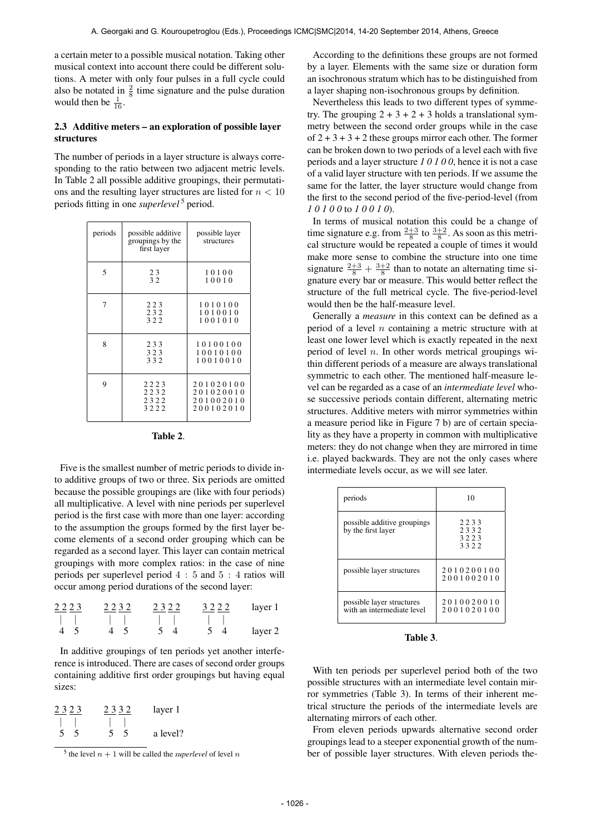a certain meter to a possible musical notation. Taking other musical context into account there could be different solutions. A meter with only four pulses in a full cycle could also be notated in  $\frac{2}{8}$  time signature and the pulse duration would then be  $\frac{1}{16}$ .

## 2.3 Additive meters – an exploration of possible layer structures

The number of periods in a layer structure is always corresponding to the ratio between two adjacent metric levels. In Table 2 all possible additive groupings, their permutations and the resulting layer structures are listed for  $n < 10$ periods fitting in one *superlevel* 5 period.

| periods | possible additive<br>groupings by the<br>first layer | possible layer<br>structures                     |
|---------|------------------------------------------------------|--------------------------------------------------|
| 5       | 23<br>32                                             | 10100<br>10010                                   |
| 7       | 223<br>232<br>322                                    | 1010100<br>1010010<br>1001010                    |
| 8       | 233<br>323<br>332                                    | 10100100<br>10010100<br>10010010                 |
| 9       | 2223<br>2232<br>2322<br>3222                         | 201020100<br>201020010<br>201002010<br>200102010 |

| 'able |  |
|-------|--|
|-------|--|

Five is the smallest number of metric periods to divide into additive groups of two or three. Six periods are omitted because the possible groupings are (like with four periods) all multiplicative. A level with nine periods per superlevel period is the first case with more than one layer: according to the assumption the groups formed by the first layer become elements of a second order grouping which can be regarded as a second layer. This layer can contain metrical groupings with more complex ratios: in the case of nine periods per superlevel period 4 : 5 and 5 : 4 ratios will occur among period durations of the second layer:

| $2223$ | $2232$ | $2322$ | $3222$ | layer 1 |  |
|--------|--------|--------|--------|---------|--|
|        |        |        |        |         |  |
| 4 5    | 4 5    | 5 4    | 5 4    | layer 2 |  |

In additive groupings of ten periods yet another interference is introduced. There are cases of second order groups containing additive first order groupings but having equal sizes:

| 2323     | 2332     | layer 1  |
|----------|----------|----------|
|          |          |          |
| -5<br>5. | -5<br>5. | a level? |

<sup>&</sup>lt;sup>5</sup> the level  $n + 1$  will be called the *superlevel* of level n

According to the definitions these groups are not formed by a layer. Elements with the same size or duration form an isochronous stratum which has to be distinguished from a layer shaping non-isochronous groups by definition.

Nevertheless this leads to two different types of symmetry. The grouping  $2 + 3 + 2 + 3$  holds a translational symmetry between the second order groups while in the case of  $2 + 3 + 3 + 2$  these groups mirror each other. The former can be broken down to two periods of a level each with five periods and a layer structure *1 0 1 0 0*, hence it is not a case of a valid layer structure with ten periods. If we assume the same for the latter, the layer structure would change from the first to the second period of the five-period-level (from *1 0 1 0 0* to *1 0 0 1 0*).

In terms of musical notation this could be a change of time signature e.g. from  $\frac{2+3}{8}$  to  $\frac{3+2}{8}$ . As soon as this metrical structure would be repeated a couple of times it would make more sense to combine the structure into one time signature  $\frac{2+3}{8} + \frac{3+2}{8}$  than to notate an alternating time signature every bar or measure. This would better reflect the structure of the full metrical cycle. The five-period-level would then be the half-measure level.

Generally a *measure* in this context can be defined as a period of a level  $n$  containing a metric structure with at least one lower level which is exactly repeated in the next period of level  $n$ . In other words metrical groupings within different periods of a measure are always translational symmetric to each other. The mentioned half-measure level can be regarded as a case of an *intermediate level* whose successive periods contain different, alternating metric structures. Additive meters with mirror symmetries within a measure period like in Figure 7 b) are of certain speciality as they have a property in common with multiplicative meters: they do not change when they are mirrored in time i.e. played backwards. They are not the only cases where intermediate levels occur, as we will see later.

| periods                                                 | 10                           |
|---------------------------------------------------------|------------------------------|
| possible additive groupings<br>by the first layer       | 2233<br>2332<br>3223<br>3322 |
| possible layer structures                               | 2010200100<br>2001002010     |
| possible layer structures<br>with an intermediate level | 2010020010<br>2001020100     |

Table 3.

With ten periods per superlevel period both of the two possible structures with an intermediate level contain mirror symmetries (Table 3). In terms of their inherent metrical structure the periods of the intermediate levels are alternating mirrors of each other.

From eleven periods upwards alternative second order groupings lead to a steeper exponential growth of the number of possible layer structures. With eleven periods the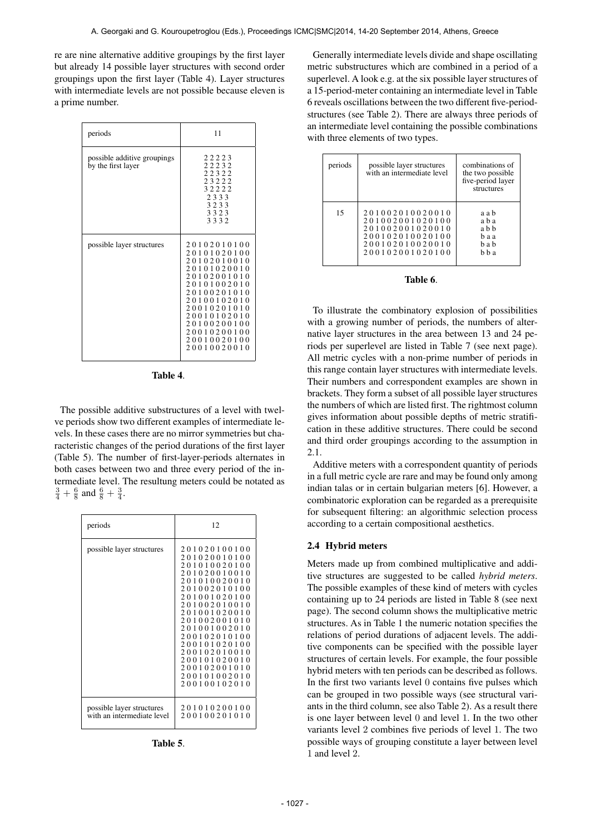re are nine alternative additive groupings by the first layer but already 14 possible layer structures with second order groupings upon the first layer (Table 4). Layer structures with intermediate levels are not possible because eleven is a prime number.

| periods                                           | 11                                                                                                                                                                                                                       |  |
|---------------------------------------------------|--------------------------------------------------------------------------------------------------------------------------------------------------------------------------------------------------------------------------|--|
| possible additive groupings<br>by the first layer | 22223<br>22232<br>22322<br>23222<br>32222<br>2333<br>3233<br>3323<br>3332                                                                                                                                                |  |
| possible layer structures                         | 20102010100<br>20101020100<br>20102010010<br>20101020010<br>20102001010<br>20<br>101002010<br>0100201010<br>20100102010<br>20010201010<br>200<br>0102010<br>1<br>0100200100<br>20010200100<br>20010020100<br>20010020010 |  |

| l'able |  |  |
|--------|--|--|
|--------|--|--|

The possible additive substructures of a level with twelve periods show two different examples of intermediate levels. In these cases there are no mirror symmetries but characteristic changes of the period durations of the first layer (Table 5). The number of first-layer-periods alternates in both cases between two and three every period of the intermediate level. The resultung meters could be notated as  $\frac{3}{4} + \frac{6}{8}$  and  $\frac{6}{8} + \frac{3}{4}$ .

| periods                                                 | 12                                                                                                                                                                                                                                                                                                                                                                                                                       |
|---------------------------------------------------------|--------------------------------------------------------------------------------------------------------------------------------------------------------------------------------------------------------------------------------------------------------------------------------------------------------------------------------------------------------------------------------------------------------------------------|
| possible layer structures                               | 201020100100<br>201020010100<br>2<br>010020100<br>-1<br>0<br>020010010<br>$\mathbf{1}$<br>0<br>010020010<br>$\mathbf{1}$<br>002010100<br>0<br>001020100<br>0<br>002010010<br>1<br>$\theta$<br>001020010<br>0<br>002001010<br>-1<br>0<br>001002010<br>0<br>02010100<br>-1<br>00<br>01020100<br>$\mathbf{1}$<br>00<br>02010010<br>200<br>1<br>101020010<br>00<br>2<br>02001010<br>-1<br>00<br>200101002010<br>200100102010 |
| possible layer structures<br>with an intermediate level | 201010200100<br>200100201010                                                                                                                                                                                                                                                                                                                                                                                             |

Table 5.

Generally intermediate levels divide and shape oscillating metric substructures which are combined in a period of a superlevel. A look e.g. at the six possible layer structures of a 15-period-meter containing an intermediate level in Table 6 reveals oscillations between the two different five-periodstructures (see Table 2). There are always three periods of an intermediate level containing the possible combinations with three elements of two types.

| periods | possible layer structures<br>with an intermediate level                                                        | combinations of<br>the two possible<br>five-period layer<br>structures |
|---------|----------------------------------------------------------------------------------------------------------------|------------------------------------------------------------------------|
| 15      | 201002010020010<br>201002001020100<br>201002001020010<br>200102010020100<br>200102010020010<br>200102001020100 | a a b<br>a b a<br>a b b<br>haa<br>h a h<br>h h a                       |

### Table 6.

To illustrate the combinatory explosion of possibilities with a growing number of periods, the numbers of alternative layer structures in the area between 13 and 24 periods per superlevel are listed in Table 7 (see next page). All metric cycles with a non-prime number of periods in this range contain layer structures with intermediate levels. Their numbers and correspondent examples are shown in brackets. They form a subset of all possible layer structures the numbers of which are listed first. The rightmost column gives information about possible depths of metric stratification in these additive structures. There could be second and third order groupings according to the assumption in 2.1.

Additive meters with a correspondent quantity of periods in a full metric cycle are rare and may be found only among indian talas or in certain bulgarian meters [6]. However, a combinatoric exploration can be regarded as a prerequisite for subsequent filtering: an algorithmic selection process according to a certain compositional aesthetics.

#### 2.4 Hybrid meters

Meters made up from combined multiplicative and additive structures are suggested to be called *hybrid meters*. The possible examples of these kind of meters with cycles containing up to 24 periods are listed in Table 8 (see next page). The second column shows the multiplicative metric structures. As in Table 1 the numeric notation specifies the relations of period durations of adjacent levels. The additive components can be specified with the possible layer structures of certain levels. For example, the four possible hybrid meters with ten periods can be described as follows. In the first two variants level 0 contains five pulses which can be grouped in two possible ways (see structural variants in the third column, see also Table 2). As a result there is one layer between level 0 and level 1. In the two other variants level 2 combines five periods of level 1. The two possible ways of grouping constitute a layer between level 1 and level 2.